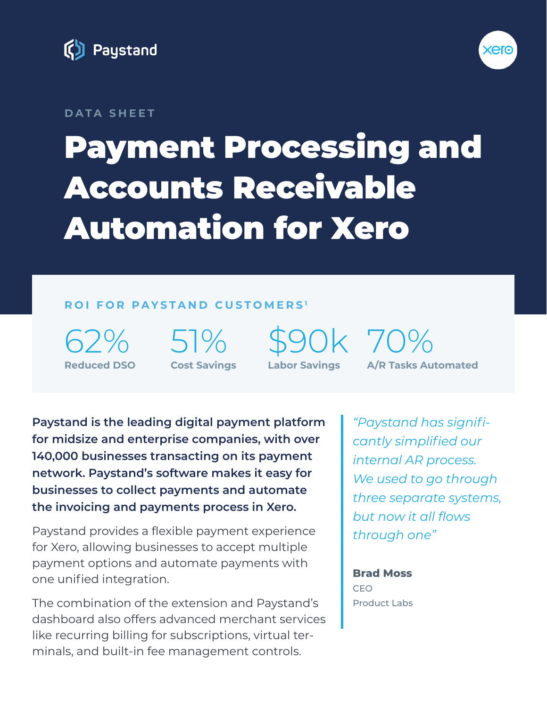



#### **DATA SHEET**

# Payment Processing and Accounts Receivable Automation for Xero

#### **ROI FOR PAYSTAND CUSTOMERS <sup>1</sup>**

 $52%$ **Reduced DSO** 51% **Cost Savings** \$90k 70% **Labor Savings**

**A/R Tasks Automated**

**Paystand is the leading digital payment platform for midsize and enterprise companies, with over 140,000 businesses transacting on its payment network. Paystand's software makes it easy for businesses to collect payments and automate the invoicing and payments process in Xero.**

Paystand provides a flexible payment experience for Xero, allowing businesses to accept multiple payment options and automate payments with one unified integration.

The combination of the extension and Paystand's dashboard also offers advanced merchant services like recurring billing for subscriptions, virtual terminals, and built-in fee management controls.

*"Paystand has significantly simplified our internal AR process. We used to go through three separate systems, but now it all flows through one"*

**Brad Moss** CEO Product Labs